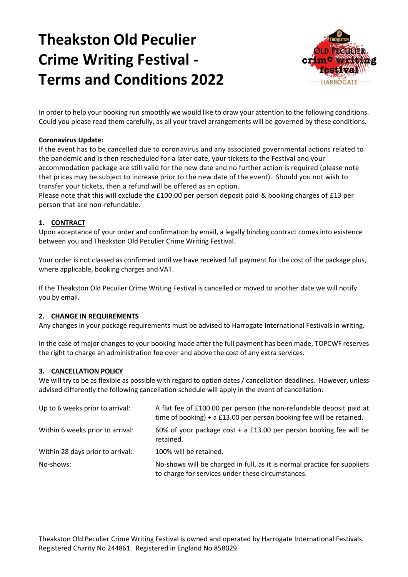# **Theakston Old Peculier Crime Writing Festival - Terms and Conditions 2022**



In order to help your booking run smoothly we would like to draw your attention to the following conditions. Could you please read them carefully, as all your travel arrangements will be governed by these conditions.

# **Coronavirus Update:**

If the event has to be cancelled due to coronavirus and any associated governmental actions related to the pandemic and is then rescheduled for a later date, your tickets to the Festival and your accommodation package are still valid for the new date and no further action is required (please note that prices may be subject to increase prior to the new date of the event). Should you not wish to transfer your tickets, then a refund will be offered as an option.

Please note that this will exclude the £100.00 per person deposit paid & booking charges of £13 per person that are non-refundable.

# **1. CONTRACT**

Upon acceptance of your order and confirmation by email, a legally binding contract comes into existence between you and Theakston Old Peculier Crime Writing Festival.

Your order is not classed as confirmed until we have received full payment for the cost of the package plus, where applicable, booking charges and VAT.

If the Theakston Old Peculier Crime Writing Festival is cancelled or moved to another date we will notify you by email.

### **2. CHANGE IN REQUIREMENTS**

Any changes in your package requirements must be advised to Harrogate International Festivals in writing.

In the case of major changes to your booking made after the full payment has been made, TOPCWF reserves the right to charge an administration fee over and above the cost of any extra services.

### **3. CANCELLATION POLICY**

We will try to be as flexible as possible with regard to option dates / cancellation deadlines. However, unless advised differently the following cancellation schedule will apply in the event of cancellation:

| Up to 6 weeks prior to arrival:  | A flat fee of £100.00 per person (the non-refundable deposit paid at<br>time of booking) + a £13.00 per person booking fee will be retained. |
|----------------------------------|----------------------------------------------------------------------------------------------------------------------------------------------|
| Within 6 weeks prior to arrival: | 60% of your package cost + a £13.00 per person booking fee will be<br>retained.                                                              |
| Within 28 days prior to arrival: | 100% will be retained.                                                                                                                       |
| No-shows:                        | No-shows will be charged in full, as it is normal practice for suppliers<br>to charge for services under these circumstances.                |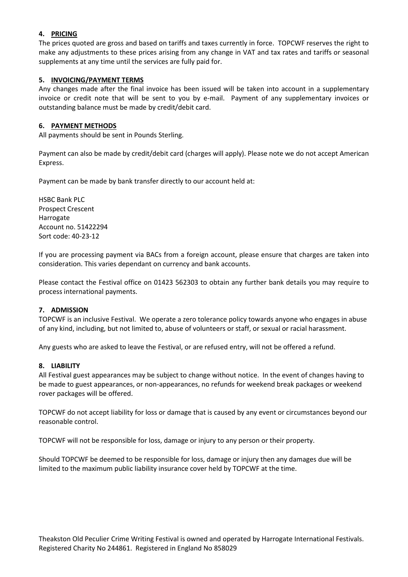# **4. PRICING**

The prices quoted are gross and based on tariffs and taxes currently in force. TOPCWF reserves the right to make any adjustments to these prices arising from any change in VAT and tax rates and tariffs or seasonal supplements at any time until the services are fully paid for.

# **5. INVOICING/PAYMENT TERMS**

Any changes made after the final invoice has been issued will be taken into account in a supplementary invoice or credit note that will be sent to you by e-mail. Payment of any supplementary invoices or outstanding balance must be made by credit/debit card.

#### **6. PAYMENT METHODS**

All payments should be sent in Pounds Sterling.

Payment can also be made by credit/debit card (charges will apply). Please note we do not accept American Express.

Payment can be made by bank transfer directly to our account held at:

HSBC Bank PLC Prospect Crescent Harrogate Account no. 51422294 Sort code: 40-23-12

If you are processing payment via BACs from a foreign account, please ensure that charges are taken into consideration. This varies dependant on currency and bank accounts.

Please contact the Festival office on 01423 562303 to obtain any further bank details you may require to process international payments.

### **7. ADMISSION**

TOPCWF is an inclusive Festival. We operate a zero tolerance policy towards anyone who engages in abuse of any kind, including, but not limited to, abuse of volunteers or staff, or sexual or racial harassment.

Any guests who are asked to leave the Festival, or are refused entry, will not be offered a refund.

#### **8. LIABILITY**

All Festival guest appearances may be subject to change without notice. In the event of changes having to be made to guest appearances, or non-appearances, no refunds for weekend break packages or weekend rover packages will be offered.

TOPCWF do not accept liability for loss or damage that is caused by any event or circumstances beyond our reasonable control.

TOPCWF will not be responsible for loss, damage or injury to any person or their property.

Should TOPCWF be deemed to be responsible for loss, damage or injury then any damages due will be limited to the maximum public liability insurance cover held by TOPCWF at the time.